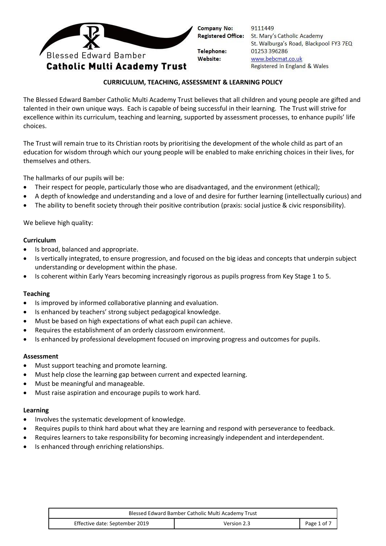

9111449 St. Mary's Catholic Academy St. Walburga's Road, Blackpool FY3 7EQ 01253 396286 www.bebcmat.co.uk Registered in England & Wales

### **CURRICULUM, TEACHING, ASSESSMENT & LEARNING POLICY**

The Blessed Edward Bamber Catholic Multi Academy Trust believes that all children and young people are gifted and talented in their own unique ways. Each is capable of being successful in their learning. The Trust will strive for excellence within its curriculum, teaching and learning, supported by assessment processes, to enhance pupils' life choices.

The Trust will remain true to its Christian roots by prioritising the development of the whole child as part of an education for wisdom through which our young people will be enabled to make enriching choices in their lives, for themselves and others.

The hallmarks of our pupils will be:

- Their respect for people, particularly those who are disadvantaged, and the environment (ethical);
- A depth of knowledge and understanding and a love of and desire for further learning (intellectually curious) and
- The ability to benefit society through their positive contribution (praxis: social justice & civic responsibility).

We believe high quality:

#### **Curriculum**

- Is broad, balanced and appropriate.
- Is vertically integrated, to ensure progression, and focused on the big ideas and concepts that underpin subject understanding or development within the phase.
- Is coherent within Early Years becoming increasingly rigorous as pupils progress from Key Stage 1 to 5.

### **Teaching**

- Is improved by informed collaborative planning and evaluation.
- Is enhanced by teachers' strong subject pedagogical knowledge.
- Must be based on high expectations of what each pupil can achieve.
- Requires the establishment of an orderly classroom environment.
- Is enhanced by professional development focused on improving progress and outcomes for pupils.

### **Assessment**

- Must support teaching and promote learning.
- Must help close the learning gap between current and expected learning.
- Must be meaningful and manageable.
- Must raise aspiration and encourage pupils to work hard.

#### **Learning**

- Involves the systematic development of knowledge.
- Requires pupils to think hard about what they are learning and respond with perseverance to feedback.
- Requires learners to take responsibility for becoming increasingly independent and interdependent.
- Is enhanced through enriching relationships.

| Blessed Edward Bamber Catholic Multi Academy Trust |             |             |
|----------------------------------------------------|-------------|-------------|
| Effective date: September 2019                     | Version 2.3 | Page 1 of 7 |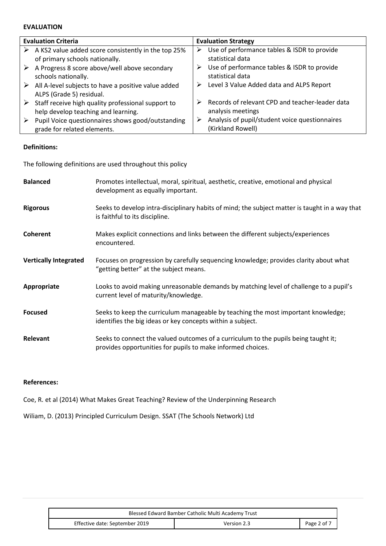### **EVALUATION**

| <b>Evaluation Criteria</b>                                                           | <b>Evaluation Strategy</b>                                               |
|--------------------------------------------------------------------------------------|--------------------------------------------------------------------------|
| A KS2 value added score consistently in the top 25%                                  | Use of performance tables & ISDR to provide                              |
| ➤                                                                                    | ➤                                                                        |
| of primary schools nationally.                                                       | statistical data                                                         |
| A Progress 8 score above/well above secondary                                        | Use of performance tables & ISDR to provide                              |
| ➤                                                                                    | ➤                                                                        |
| schools nationally.                                                                  | statistical data                                                         |
| All A-level subjects to have a positive value added<br>➤<br>ALPS (Grade 5) residual. | Level 3 Value Added data and ALPS Report<br>➤                            |
| Staff receive high quality professional support to                                   | Records of relevant CPD and teacher-leader data                          |
| ➤                                                                                    | ⋗                                                                        |
| help develop teaching and learning.                                                  | analysis meetings                                                        |
| Pupil Voice questionnaires shows good/outstanding<br>grade for related elements.     | Analysis of pupil/student voice questionnaires<br>➤<br>(Kirkland Rowell) |

### **Definitions:**

The following definitions are used throughout this policy

| <b>Balanced</b>              | Promotes intellectual, moral, spiritual, aesthetic, creative, emotional and physical<br>development as equally important.                          |
|------------------------------|----------------------------------------------------------------------------------------------------------------------------------------------------|
| <b>Rigorous</b>              | Seeks to develop intra-disciplinary habits of mind; the subject matter is taught in a way that<br>is faithful to its discipline.                   |
| <b>Coherent</b>              | Makes explicit connections and links between the different subjects/experiences<br>encountered.                                                    |
| <b>Vertically Integrated</b> | Focuses on progression by carefully sequencing knowledge; provides clarity about what<br>"getting better" at the subject means.                    |
| Appropriate                  | Looks to avoid making unreasonable demands by matching level of challenge to a pupil's<br>current level of maturity/knowledge.                     |
| <b>Focused</b>               | Seeks to keep the curriculum manageable by teaching the most important knowledge;<br>identifies the big ideas or key concepts within a subject.    |
| Relevant                     | Seeks to connect the valued outcomes of a curriculum to the pupils being taught it;<br>provides opportunities for pupils to make informed choices. |

# **References:**

Coe, R. et al (2014) What Makes Great Teaching? Review of the Underpinning Research

Wiliam, D. (2013) Principled Curriculum Design. SSAT (The Schools Network) Ltd

| Blessed Edward Bamber Catholic Multi Academy Trust |             |             |
|----------------------------------------------------|-------------|-------------|
| Effective date: September 2019                     | Version 2.3 | Page 2 of 7 |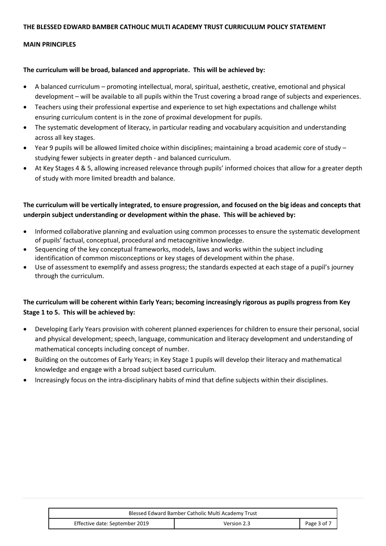#### **THE BLESSED EDWARD BAMBER CATHOLIC MULTI ACADEMY TRUST CURRICULUM POLICY STATEMENT**

#### **MAIN PRINCIPLES**

#### **The curriculum will be broad, balanced and appropriate. This will be achieved by:**

- A balanced curriculum promoting intellectual, moral, spiritual, aesthetic, creative, emotional and physical development – will be available to all pupils within the Trust covering a broad range of subjects and experiences.
- Teachers using their professional expertise and experience to set high expectations and challenge whilst ensuring curriculum content is in the zone of proximal development for pupils.
- The systematic development of literacy, in particular reading and vocabulary acquisition and understanding across all key stages.
- Year 9 pupils will be allowed limited choice within disciplines; maintaining a broad academic core of study studying fewer subjects in greater depth - and balanced curriculum.
- At Key Stages 4 & 5, allowing increased relevance through pupils' informed choices that allow for a greater depth of study with more limited breadth and balance.

# **The curriculum will be vertically integrated, to ensure progression, and focused on the big ideas and concepts that underpin subject understanding or development within the phase. This will be achieved by:**

- Informed collaborative planning and evaluation using common processes to ensure the systematic development of pupils' factual, conceptual, procedural and metacognitive knowledge.
- Sequencing of the key conceptual frameworks, models, laws and works within the subject including identification of common misconceptions or key stages of development within the phase.
- Use of assessment to exemplify and assess progress; the standards expected at each stage of a pupil's journey through the curriculum.

# **The curriculum will be coherent within Early Years; becoming increasingly rigorous as pupils progress from Key Stage 1 to 5. This will be achieved by:**

- Developing Early Years provision with coherent planned experiences for children to ensure their personal, social and physical development; speech, language, communication and literacy development and understanding of mathematical concepts including concept of number.
- Building on the outcomes of Early Years; in Key Stage 1 pupils will develop their literacy and mathematical knowledge and engage with a broad subject based curriculum.
- Increasingly focus on the intra-disciplinary habits of mind that define subjects within their disciplines.

| Blessed Edward Bamber Catholic Multi Academy Trust |             |             |
|----------------------------------------------------|-------------|-------------|
| Effective date: September 2019                     | Version 2.3 | Page 3 of 7 |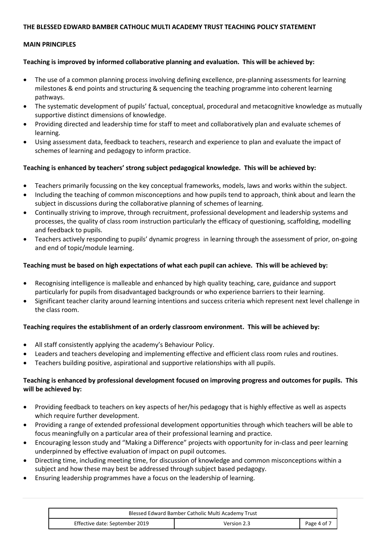### **THE BLESSED EDWARD BAMBER CATHOLIC MULTI ACADEMY TRUST TEACHING POLICY STATEMENT**

### **MAIN PRINCIPLES**

### **Teaching is improved by informed collaborative planning and evaluation. This will be achieved by:**

- The use of a common planning process involving defining excellence, pre-planning assessments for learning milestones & end points and structuring & sequencing the teaching programme into coherent learning pathways.
- The systematic development of pupils' factual, conceptual, procedural and metacognitive knowledge as mutually supportive distinct dimensions of knowledge.
- Providing directed and leadership time for staff to meet and collaboratively plan and evaluate schemes of learning.
- Using assessment data, feedback to teachers, research and experience to plan and evaluate the impact of schemes of learning and pedagogy to inform practice.

### **Teaching is enhanced by teachers' strong subject pedagogical knowledge. This will be achieved by:**

- Teachers primarily focussing on the key conceptual frameworks, models, laws and works within the subject.
- Including the teaching of common misconceptions and how pupils tend to approach, think about and learn the subject in discussions during the collaborative planning of schemes of learning.
- Continually striving to improve, through recruitment, professional development and leadership systems and processes, the quality of class room instruction particularly the efficacy of questioning, scaffolding, modelling and feedback to pupils.
- Teachers actively responding to pupils' dynamic progress in learning through the assessment of prior, on-going and end of topic/module learning.

### **Teaching must be based on high expectations of what each pupil can achieve. This will be achieved by:**

- Recognising intelligence is malleable and enhanced by high quality teaching, care, guidance and support particularly for pupils from disadvantaged backgrounds or who experience barriers to their learning.
- Significant teacher clarity around learning intentions and success criteria which represent next level challenge in the class room.

### **Teaching requires the establishment of an orderly classroom environment. This will be achieved by:**

- All staff consistently applying the academy's Behaviour Policy.
- Leaders and teachers developing and implementing effective and efficient class room rules and routines.
- Teachers building positive, aspirational and supportive relationships with all pupils.

### **Teaching is enhanced by professional development focused on improving progress and outcomes for pupils. This will be achieved by:**

- Providing feedback to teachers on key aspects of her/his pedagogy that is highly effective as well as aspects which require further development.
- Providing a range of extended professional development opportunities through which teachers will be able to focus meaningfully on a particular area of their professional learning and practice.
- Encouraging lesson study and "Making a Difference" projects with opportunity for in-class and peer learning underpinned by effective evaluation of impact on pupil outcomes.
- Directing time, including meeting time, for discussion of knowledge and common misconceptions within a subject and how these may best be addressed through subject based pedagogy.
- Ensuring leadership programmes have a focus on the leadership of learning.

| Blessed Edward Bamber Catholic Multi Academy Trust |             |             |
|----------------------------------------------------|-------------|-------------|
| Effective date: September 2019                     | Version 2.3 | Page 4 of 7 |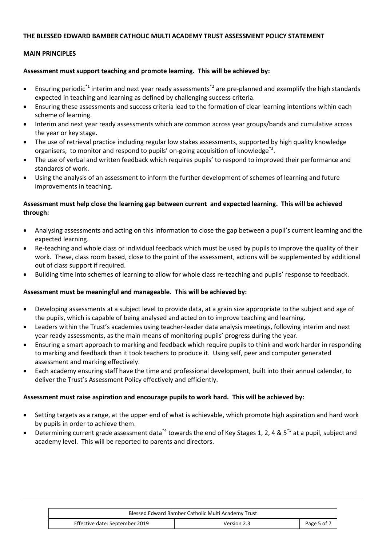### **THE BLESSED EDWARD BAMBER CATHOLIC MULTI ACADEMY TRUST ASSESSMENT POLICY STATEMENT**

### **MAIN PRINCIPLES**

### **Assessment must support teaching and promote learning. This will be achieved by:**

- Ensuring periodic<sup>\*1</sup> interim and next year ready assessments<sup>\*2</sup> are pre-planned and exemplify the high standards expected in teaching and learning as defined by challenging success criteria.
- Ensuring these assessments and success criteria lead to the formation of clear learning intentions within each scheme of learning.
- Interim and next year ready assessments which are common across year groups/bands and cumulative across the year or key stage.
- The use of retrieval practice including regular low stakes assessments, supported by high quality knowledge organisers, to monitor and respond to pupils' on-going acquisition of knowledge<sup>\*3</sup>.
- The use of verbal and written feedback which requires pupils' to respond to improved their performance and standards of work.
- Using the analysis of an assessment to inform the further development of schemes of learning and future improvements in teaching.

# **Assessment must help close the learning gap between current and expected learning. This will be achieved through:**

- Analysing assessments and acting on this information to close the gap between a pupil's current learning and the expected learning.
- Re-teaching and whole class or individual feedback which must be used by pupils to improve the quality of their work. These, class room based, close to the point of the assessment, actions will be supplemented by additional out of class support if required.
- Building time into schemes of learning to allow for whole class re-teaching and pupils' response to feedback.

# **Assessment must be meaningful and manageable. This will be achieved by:**

- Developing assessments at a subject level to provide data, at a grain size appropriate to the subject and age of the pupils, which is capable of being analysed and acted on to improve teaching and learning.
- Leaders within the Trust's academies using teacher-leader data analysis meetings, following interim and next year ready assessments, as the main means of monitoring pupils' progress during the year.
- Ensuring a smart approach to marking and feedback which require pupils to think and work harder in responding to marking and feedback than it took teachers to produce it. Using self, peer and computer generated assessment and marking effectively.
- Each academy ensuring staff have the time and professional development, built into their annual calendar, to deliver the Trust's Assessment Policy effectively and efficiently.

### **Assessment must raise aspiration and encourage pupils to work hard. This will be achieved by:**

- Setting targets as a range, at the upper end of what is achievable, which promote high aspiration and hard work by pupils in order to achieve them.
- Determining current grade assessment data<sup>\*4</sup> towards the end of Key Stages 1, 2, 4 & 5<sup>\*5</sup> at a pupil, subject and academy level. This will be reported to parents and directors.

| Blessed Edward Bamber Catholic Multi Academy Trust |             |             |
|----------------------------------------------------|-------------|-------------|
| Effective date: September 2019                     | Version 2.3 | Page 5 of 7 |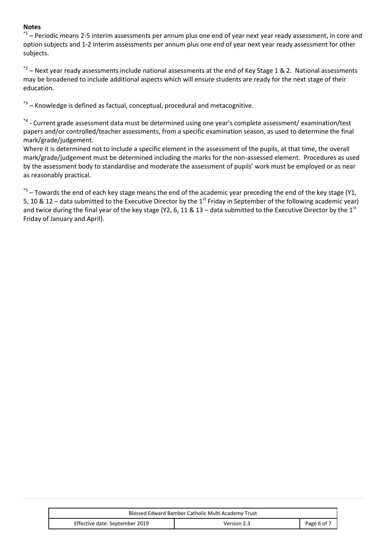### **Notes**

\*1 – Periodic means 2-5 interim assessments per annum plus one end of year next year ready assessment, in core and option subjects and 1-2 interim assessments per annum plus one end of year next year ready assessment for other subjects.

 $^{*2}$  – Next year ready assessments include national assessments at the end of Key Stage 1 & 2. National assessments may be broadened to include additional aspects which will ensure students are ready for the next stage of their education.

\*3 – Knowledge is defined as factual, conceptual, procedural and metacognitive.

\*4 - Current grade assessment data must be determined using one year's complete assessment/ examination/test papers and/or controlled/teacher assessments, from a specific examination season, as used to determine the final mark/grade/judgement.

Where it is determined not to include a specific element in the assessment of the pupils, at that time, the overall mark/grade/judgement must be determined including the marks for the non-assessed element. Procedures as used by the assessment body to standardise and moderate the assessment of pupils' work must be employed or as near as reasonably practical.

\*5 – Towards the end of each key stage means the end of the academic year preceding the end of the key stage (Y1, 5, 10 & 12 – data submitted to the Executive Director by the 1<sup>st</sup> Friday in September of the following academic year) and twice during the final year of the key stage (Y2, 6, 11 & 13 – data submitted to the Executive Director by the  $1^{st}$ Friday of January and April).

| Blessed Edward Bamber Catholic Multi Academy Trust |             |             |
|----------------------------------------------------|-------------|-------------|
| Effective date: September 2019                     | Version 2.3 | Page 6 of 7 |